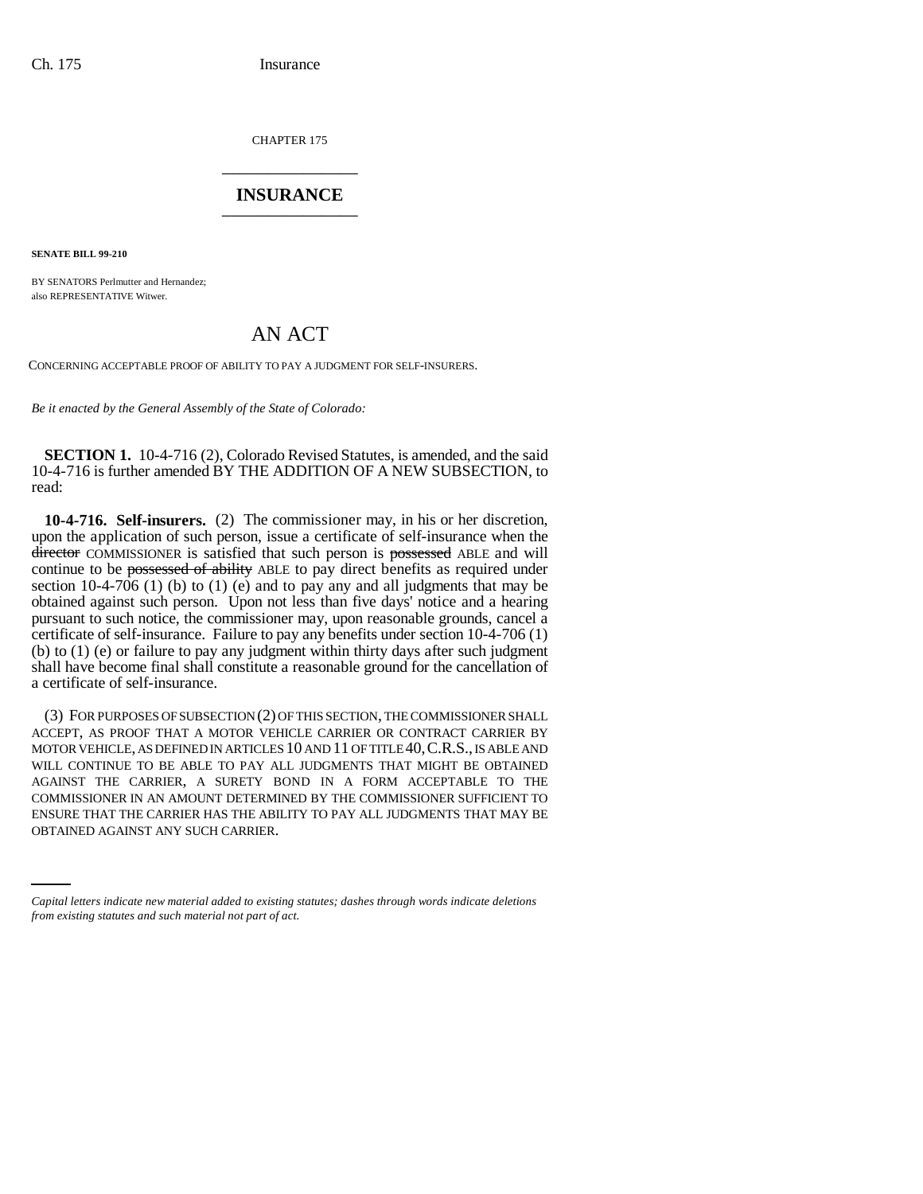CHAPTER 175 \_\_\_\_\_\_\_\_\_\_\_\_\_\_\_

## **INSURANCE** \_\_\_\_\_\_\_\_\_\_\_\_\_\_\_

**SENATE BILL 99-210**

BY SENATORS Perlmutter and Hernandez; also REPRESENTATIVE Witwer.

## AN ACT

CONCERNING ACCEPTABLE PROOF OF ABILITY TO PAY A JUDGMENT FOR SELF-INSURERS.

*Be it enacted by the General Assembly of the State of Colorado:*

**SECTION 1.** 10-4-716 (2), Colorado Revised Statutes, is amended, and the said 10-4-716 is further amended BY THE ADDITION OF A NEW SUBSECTION, to read:

**10-4-716. Self-insurers.** (2) The commissioner may, in his or her discretion, upon the application of such person, issue a certificate of self-insurance when the director COMMISSIONER is satisfied that such person is possessed ABLE and will continue to be possessed of ability ABLE to pay direct benefits as required under section 10-4-706 (1) (b) to (1) (e) and to pay any and all judgments that may be obtained against such person. Upon not less than five days' notice and a hearing pursuant to such notice, the commissioner may, upon reasonable grounds, cancel a certificate of self-insurance. Failure to pay any benefits under section 10-4-706 (1) (b) to (1) (e) or failure to pay any judgment within thirty days after such judgment shall have become final shall constitute a reasonable ground for the cancellation of a certificate of self-insurance.

ENSURE THAT THE CARRIER HAS THE ABILITY TO PAY ALL JUDGMENTS THAT MAY BE (3) FOR PURPOSES OF SUBSECTION (2) OF THIS SECTION, THE COMMISSIONER SHALL ACCEPT, AS PROOF THAT A MOTOR VEHICLE CARRIER OR CONTRACT CARRIER BY MOTOR VEHICLE, AS DEFINED IN ARTICLES 10 AND 11 OF TITLE 40,C.R.S., IS ABLE AND WILL CONTINUE TO BE ABLE TO PAY ALL JUDGMENTS THAT MIGHT BE OBTAINED AGAINST THE CARRIER, A SURETY BOND IN A FORM ACCEPTABLE TO THE COMMISSIONER IN AN AMOUNT DETERMINED BY THE COMMISSIONER SUFFICIENT TO OBTAINED AGAINST ANY SUCH CARRIER.

*Capital letters indicate new material added to existing statutes; dashes through words indicate deletions from existing statutes and such material not part of act.*